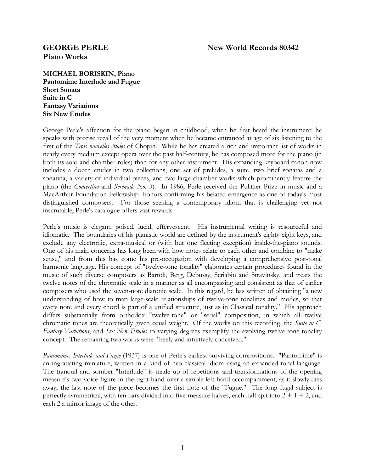## **GEORGE PERLE New World Records 80342**

# **Piano Works**

**MICHAEL BORISKIN, Piano Pantomime Interlude and Fugue Short Sonata Suite in C Fantasy Variations Six New Etudes** 

George Perle's affection for the piano began in childhood, when he first heard the instrument: he speaks with precise recall of the very moment when he became entranced at age of six listening to the first of the *Trois nouvelles études* of Chopin. While he has created a rich and important list of works in nearly every medium except opera over the past half-century, he has composed more for the piano (in both its solo and chamber roles) than for any other instrument. His expanding keyboard canon now includes a dozen etudes in two collections, one set of preludes, a suite, two brief sonatas and a sonatina, a variety of individual pieces, and two large chamber works which prominently feature the piano (the *Concertino* and *Serenade No. 3*). In 1986, Perle received the Pulitzer Prize in music and a MacArthur Foundation Fellowship--honors confirming his belated emergence as one of today's most distinguished composers. For those seeking a contemporary idiom that is challenging yet not inscrutable, Perle's catalogue offers vast rewards.

Perle's music is elegant, poised, lucid, effervescent. His instrumental writing is resourceful and idiomatic. The boundaries of his pianistic world are defined by the instrument's eighty-eight keys, and exclude any electronic, extra-musical or (with but one fleeting exception) inside-the-piano sounds. One of his main concerns has long been with how notes relate to each other and combine to "make sense," and from this has come his pre-occupation with developing a comprehensive post-tonal harmonic language. His concept of "twelve-tone tonality" elaborates certain procedures found in the music of such diverse composers as Bartok, Berg, Debussy, Scriabin and Stravinsky, and treats the twelve notes of the chromatic scale in a manner as all encompassing and consistent as that of earlier composers who used the seven-note diatonic scale. In this regard, he has written of obtaining "a new understanding of how to map large-scale relationships of twelve-tone tonalities and modes, so that every note and every chord is part of a unified structure, just as in Classical tonality." His approach differs substantially from orthodox "twelve-tone" or "serial" composition, in which all twelve chromatic tones are theoretically given equal weight. Of the works on this recording, the *Suite in C, Fantasy-Variations*, and *Six New Etudes* to varying degrees exemplify the evolving twelve-tone tonality concept. The remaining two works were "freely and intuitively conceived."

*Pantomime, Interlude and Fugue* (1937) is one of Perle's earliest surviving compositions. "Pantomime" is an ingratiating miniature, written in a kind of neo-classical idiom using an expanded tonal language. The tranquil and somber "Interlude" is made up of repetitions and transformations of the opening measure's two-voice figure in the right hand over a simple left hand accompaniment; as it slowly dies away, the last note of the piece becomes the first note of the "Fugue." The long fugal subject is perfectly symmetrical, with ten bars divided into five-measure halves, each half spit into  $2 + 1 + 2$ , and each 2 a mirror image of the other.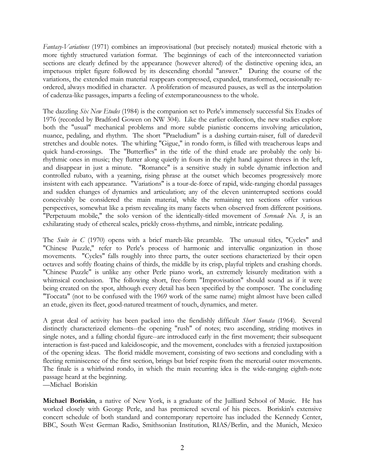*Fantasy-Variations* (1971) combines an improvisational (but precisely notated) musical rhetoric with a more tightly structured variation format. The beginnings of each of the interconnected variation sections are clearly defined by the appearance (however altered) of the distinctive opening idea, an impetuous triplet figure followed by its descending chordal "answer." During the course of the variations, the extended main material reappears compressed, expanded, transformed, occasionally reordered, always modified in character. A proliferation of measured pauses, as well as the interpolation of cadenza-like passages, imparts a feeling of extemporaneousness to the whole.

The dazzling *Six New Etudes* (1984) is the companion set to Perle's immensely successful Six Etudes of 1976 (recorded by Bradford Gowen on NW 304). Like the earlier collection, the new studies explore both the "usual" mechanical problems and more subtle pianistic concerns involving articulation, nuance, pedaling, and rhythm. The short "Praeludium" is a dashing curtain-raiser, full of daredevil stretches and double notes. The whirling "Gigue," in rondo form, is filled with treacherous leaps and quick hand-crossings. The "Butterflies" in the title of the third etude are probably the only birhythmic ones in music; they flutter along quietly in fours in the right hand against threes in the left, and disappear in just a minute. "Romance" is a sensitive study in subtle dynamic inflection and controlled rubato, with a yearning, rising phrase at the outset which becomes progressively more insistent with each appearance. "Variations" is a tour-de-force of rapid, wide-ranging chordal passages and sudden changes of dynamics and articulation; any of the eleven uninterrupted sections could conceivably be considered the main material, while the remaining ten sections offer various perspectives, somewhat like a prism revealing its many facets when observed from different positions. "Perpetuum mobile," the solo version of the identically-titled movement of *Serenade No. 3*, is an exhilarating study of ethereal scales, prickly cross-rhythms, and nimble, intricate pedaling.

The *Suite in C* (1970) opens with a brief march-like preamble. The unusual titles, "Cycles" and "Chinese Puzzle," refer to Perle's process of harmonic and intervallic organization in those movements. "Cycles" falls roughly into three parts, the outer sections characterized by their open octaves and softly floating chains of thirds, the middle by its crisp, playful triplets and crashing chords. "Chinese Puzzle" is unlike any other Perle piano work, an extremely leisurely meditation with a whimsical conclusion. The following short, free-form "Improvisation" should sound as if it were being created on the spot, although every detail has been specified by the composer. The concluding "Toccata" (not to be confused with the 1969 work of the same name) might almost have been called an etude, given its fleet, good-natured treatment of touch, dynamics, and meter.

A great deal of activity has been packed into the fiendishly difficult *Short Sonata* (1964). Several distinctly characterized elements--the opening "rush" of notes; two ascending, striding motives in single notes, and a falling chordal figure--are introduced early in the first movement; their subsequent interaction is fast-paced and kaleidoscopic, and the movement, concludes with a frenzied juxtaposition of the opening ideas. The florid middle movement, consisting of two sections and concluding with a fleeting reminiscence of the first section, brings but brief respite from the mercurial outer movements. The finale is a whirlwind rondo, in which the main recurring idea is the wide-ranging eighth-note passage heard at the beginning.

—Michael Boriskin

**Michael Boriskin**, a native of New York, is a graduate of the Juilliard School of Music. He has worked closely with George Perle, and has premiered several of his pieces. Boriskin's extensive concert schedule of both standard and contemporary repertoire has included the Kennedy Center, BBC, South West German Radio, Smithsonian Institution, RIAS/Berlin, and the Munich, Mexico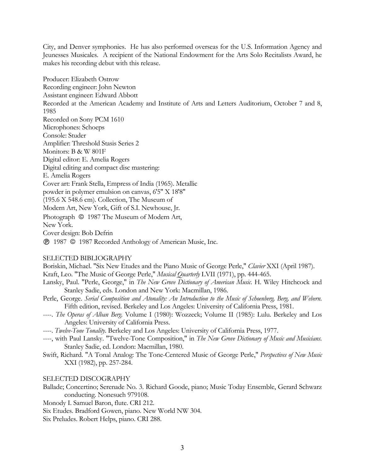City, and Denver symphonies. He has also performed overseas for the U.S. Information Agency and Jeunesses Musicales. A recipient of the National Endowment for the Arts Solo Recitalists Award, he makes his recording debut with this release.

Producer: Elizabeth Ostrow Recording engineer: John Newton Assistant engineer: Edward Abbott Recorded at the American Academy and Institute of Arts and Letters Auditorium, October 7 and 8, 1985 Recorded on Sony PCM 1610 Microphones: Schoeps Console: Studer Amplifier: Threshold Stasis Series 2 Monitors: B & W 801F Digital editor: E. Amelia Rogers Digital editing and compact disc mastering: E. Amelia Rogers Cover art: Frank Stella, Empress of India (1965). Metallic powder in polymer emulsion on canvas, 6'5" X 18'8" (195.6 X 548.6 cm). Collection, The Museum of Modern Art, New York, Gift of S.I. Newhouse, Jr. Photograph  $\odot$  1987 The Museum of Modern Art, New York. Cover design: Bob Defrin 1987 1987 Recorded Anthology of American Music, Inc.

#### SELECTED BIBLIOGRAPHY

Boriskin, Michael. "Six New Etudes and the Piano Music of George Perle," *Clavier* XXI (April 1987). Kraft, Leo. "The Music of George Perle," *Musical Quarterly* LVII (1971), pp. 444-465.

- Lansky, Paul. "Perle, George," in *The New Grove Dictionary of American Music*. H. Wiley Hitchcock and Stanley Sadie, eds. London and New York: Macmillan, 1986.
- Perle, George. *Serial Composition and Atonality: An Introduction to the Music of Schoenberg, Berg, and Webern*. Fifth edition, revised. Berkeley and Los Angeles: University of California Press, 1981.
- ----. *The Operas of Alban Berg*. Volume I (1980): Wozzeck; Volume II (1985): Lulu. Berkeley and Los Angeles: University of California Press.
- ----. *Twelve-Tone Tonality*. Berkeley and Los Angeles: University of California Press, 1977.
- ----, with Paul Lansky. "Twelve-Tone Composition," in *The New Grove Dictionary of Music and Musicians*. Stanley Sadie, ed. London: Macmillan, 1980.
- Swift, Richard. "A Tonal Analog: The Tone-Centered Music of George Perle," *Perspectives of New Music* XXI (1982), pp. 257-284.

#### SELECTED DISCOGRAPHY

- Ballade; Concertino; Serenade No. 3. Richard Goode, piano; Music Today Ensemble, Gerard Schwarz conducting. Nonesuch 979108.
- Monody I. Samuel Baron, flute. CRI 212.
- Six Etudes. Bradford Gowen, piano. New World NW 304.
- Six Preludes. Robert Helps, piano. CRI 288.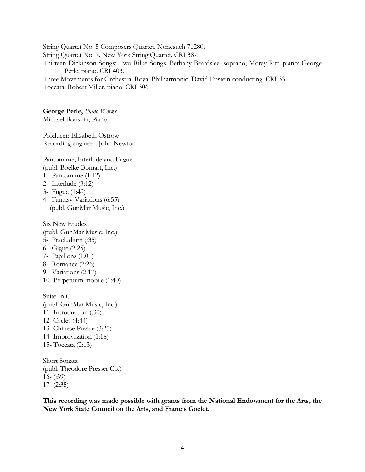String Quartet No. 5 Composers Quartet. Nonesuch 71280. String Quartet No. 7. New York String Quartet. CRI 387. Thirteen Dickinson Songs; Two Rilke Songs. Bethany Beardslee, soprano; Morey Ritt, piano; George Perle, piano. CRI 403. Three Movements for Orchestra. Royal Philharmonic, David Epstein conducting. CRI 331.

Toccata. Robert Miller, piano. CRI 306.

**George Perle,** *Piano Works* Michael Boriskin, Piano

Producer: Elizabeth Ostrow Recording engineer: John Newton

Pantomime, Interlude and Fugue (publ. Boelke-Bomart, Inc.)

- 1- Pantomime (1:12)
- 2- Interlude (3:12)
- 3- Fugue (1:49)
- 4- Fantasy-Variations (6:55) (publ. GunMar Music, Inc.)

Six New Etudes

- (publ. GunMar Music, Inc.)
- 5- Praeludium (:35)
- 6- Gigue (2:25)
- 7- Papillons (1.01)
- 8- Romance (2:26)
- 9- Variations (2:17)
- 10- Perpetuum mobile (1:40)

Suite In C (publ. GunMar Music, Inc.) 11- Introduction (:30) 12- Cycles (4:44) 13- Chinese Puzzle (3:25) 14- Improvisation (1:18) 15- Toccata (2:13)

Short Sonata (publ. Theodore Presser Co.) 16- (:59) 17- (2:35)

**This recording was made possible with grants from the National Endowment for the Arts, the New York State Council on the Arts, and Francis Goelet.**